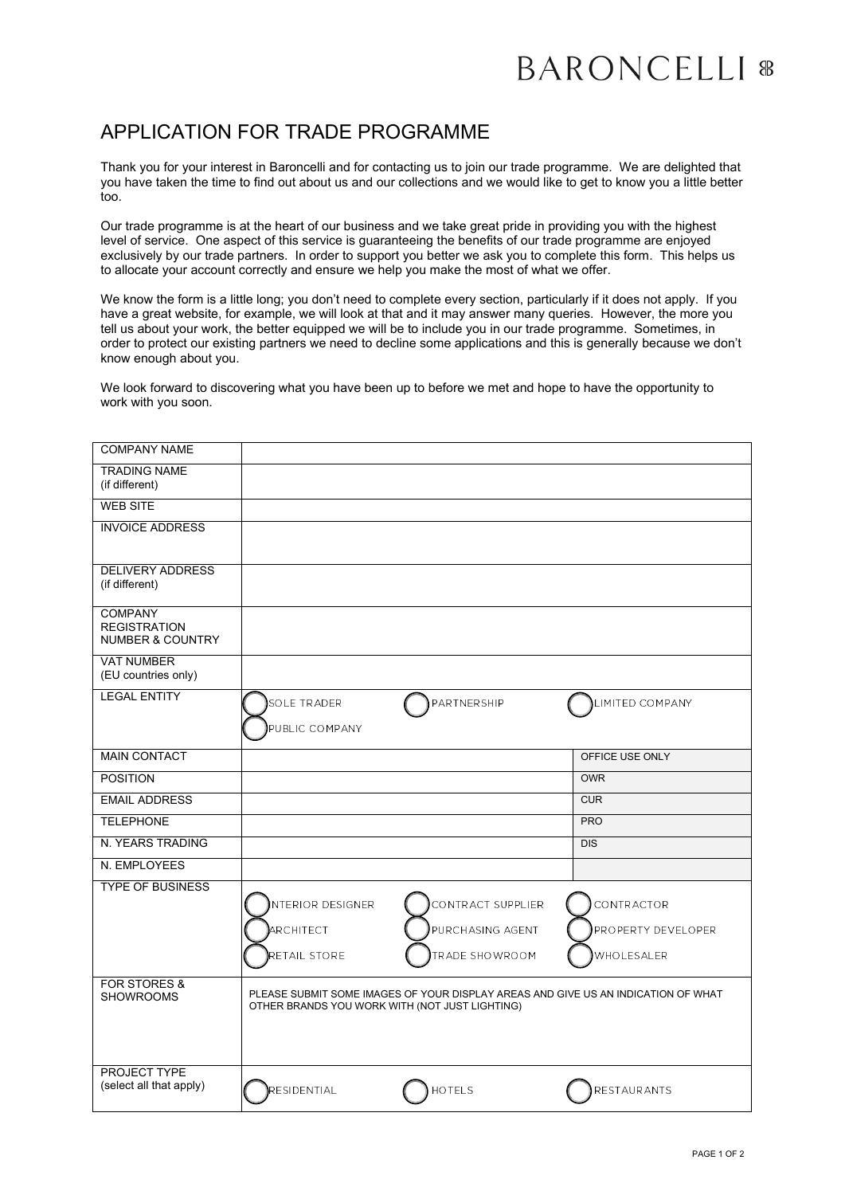## APPLICATION FOR TRADE PROGRAMME

Thank you for your interest in Baroncelli and for contacting us to join our trade programme. We are delighted that you have taken the time to find out about us and our collections and we would like to get to know you a little better too.

Our trade programme is at the heart of our business and we take great pride in providing you with the highest level of service. One aspect of this service is guaranteeing the benefits of our trade programme are enjoyed exclusively by our trade partners. In order to support you better we ask you to complete this form. This helps us to allocate your account correctly and ensure we help you make the most of what we offer.

We know the form is a little long; you don't need to complete every section, particularly if it does not apply. If you have a great website, for example, we will look at that and it may answer many queries. However, the more you tell us about your work, the better equipped we will be to include you in our trade programme. Sometimes, in order to protect our existing partners we need to decline some applications and this is generally because we don't know enough about you.

We look forward to discovering what you have been up to before we met and hope to have the opportunity to work with you soon.

| <b>COMPANY NAME</b>                                                  |                                                |                   |                                                                                   |
|----------------------------------------------------------------------|------------------------------------------------|-------------------|-----------------------------------------------------------------------------------|
| <b>TRADING NAME</b><br>(if different)                                |                                                |                   |                                                                                   |
| <b>WEB SITE</b>                                                      |                                                |                   |                                                                                   |
| <b>INVOICE ADDRESS</b>                                               |                                                |                   |                                                                                   |
| <b>DELIVERY ADDRESS</b><br>(if different)                            |                                                |                   |                                                                                   |
| <b>COMPANY</b><br><b>REGISTRATION</b><br><b>NUMBER &amp; COUNTRY</b> |                                                |                   |                                                                                   |
| <b>VAT NUMBER</b><br>(EU countries only)                             |                                                |                   |                                                                                   |
| <b>LEGAL ENTITY</b>                                                  | SOLE TRADER<br>PUBLIC COMPANY                  | PARTNERSHIP       | LIMITED COMPANY                                                                   |
| <b>MAIN CONTACT</b>                                                  |                                                |                   | OFFICE USE ONLY                                                                   |
| <b>POSITION</b>                                                      |                                                |                   | <b>OWR</b>                                                                        |
| <b>EMAIL ADDRESS</b>                                                 |                                                |                   | <b>CUR</b>                                                                        |
| <b>TELEPHONE</b>                                                     |                                                |                   | <b>PRO</b>                                                                        |
| N. YEARS TRADING                                                     |                                                |                   | <b>DIS</b>                                                                        |
| N. EMPLOYEES                                                         |                                                |                   |                                                                                   |
| <b>TYPE OF BUSINESS</b>                                              | <b>INTERIOR DESIGNER</b>                       | CONTRACT SUPPLIER | CONTRACTOR                                                                        |
|                                                                      | ARCHITECT                                      | PURCHASING AGENT  | PROPERTY DEVELOPER                                                                |
|                                                                      | RETAIL STORE                                   | TRADE SHOWROOM    | WHOLESALER                                                                        |
| <b>FOR STORES &amp;</b><br><b>SHOWROOMS</b>                          | OTHER BRANDS YOU WORK WITH (NOT JUST LIGHTING) |                   | PLEASE SUBMIT SOME IMAGES OF YOUR DISPLAY AREAS AND GIVE US AN INDICATION OF WHAT |
| PROJECT TYPE<br>(select all that apply)                              | RESIDENTIAL                                    | <b>HOTELS</b>     | <b>RESTAURANTS</b>                                                                |